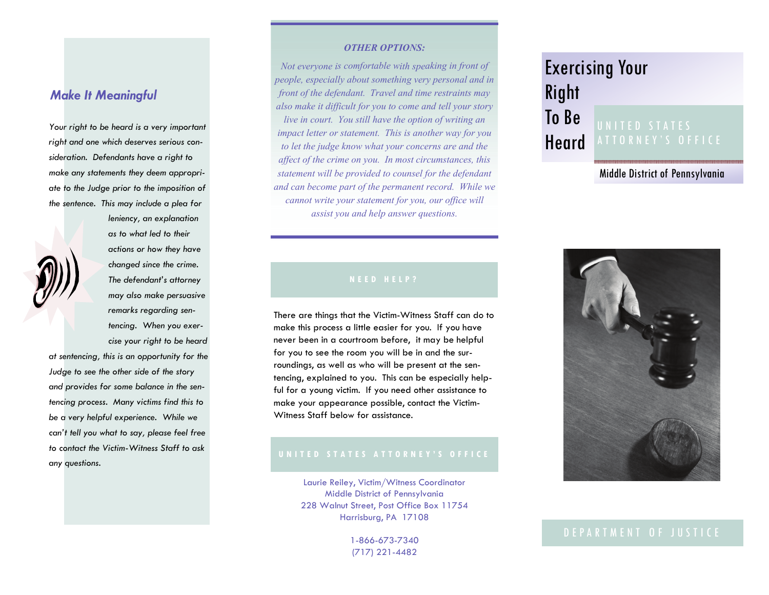# *Make It Meaningful*

*Your right to be heard is a very important right and one which deserves serious consideration. Defendants have a right to make any statements they deem appropriate to the Judge prior to the imposition of the sentence. This may include a plea for* 



*leniency, an explanation as to what led to their actions or how they have changed since the crime. The defendant's attorney may also make persuasive remarks regarding sentencing. When you exercise your right to be heard* 

*at sentencing, this is an opportunity for the Judge to see the other side of the story and provides for some balance in the sentencing process. Many victims find this to be a very helpful experience. While we can't tell you what to say, please feel free to contact the Victim-Witness Staff to ask any questions.* 

#### *OTHER OPTIONS:*

*Not everyone is comfortable with speaking in front of people, especially about something very personal and in front of the defendant. Travel and time restraints may also make it difficult for you to come and tell your story live in court. You still have the option of writing an impact letter or statement. This is another way for you to let the judge know what your concerns are and the affect of the crime on you. In most circumstances, this statement will be provided to counsel for the defendant and can become part of the permanent record. While we cannot write your statement for you, our office will assist you and help answer questions.* 

#### **NEED HEL P ?**

There are things that the Victim-Witness Staff can do to make this process a little easier for you. If you have never been in a courtroom before, it may be helpful for you to see the room you will be in and the surroundings, as well as who will be present at the sentencing, explained to you. This can be especially helpful for a young victim. If you need other assistance to make your appearance possible, contact the Victim-Witness Staff below for assistance.

#### **UNI T ED S T ATES ATTORNEY'S OFFICE**

Laurie Reiley, Victim/Witness Coordinator Middle District of Pennsylvania 228 Walnut Street, Post Office Box 11754 Harrisburg, PA 17108

> 1-866-673-7340 (717) 221-4482

# Exercising Your Right

#### To Be Heard UNITED ST A TES A T T O RNEY'S OFFICE

Middle District of Pennsylvania



### DEP A R T M E N T O F JU S T I C E